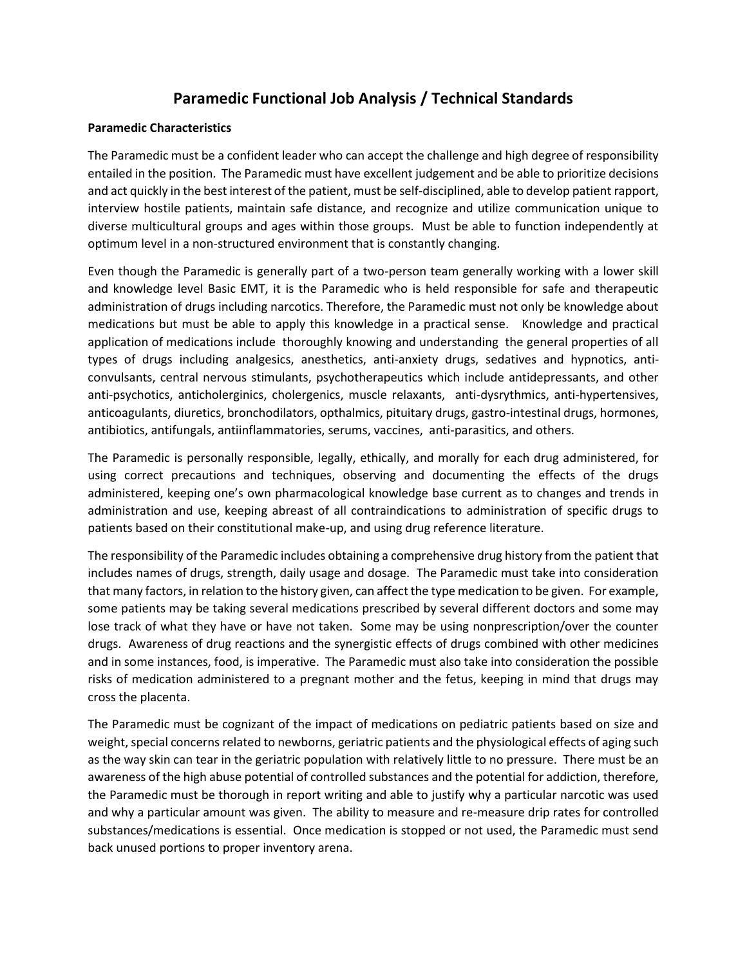## **Paramedic Functional Job Analysis / Technical Standards**

## **Paramedic Characteristics**

The Paramedic must be a confident leader who can accept the challenge and high degree of responsibility entailed in the position. The Paramedic must have excellent judgement and be able to prioritize decisions and act quickly in the best interest of the patient, must be self-disciplined, able to develop patient rapport, interview hostile patients, maintain safe distance, and recognize and utilize communication unique to diverse multicultural groups and ages within those groups. Must be able to function independently at optimum level in a non-structured environment that is constantly changing.

Even though the Paramedic is generally part of a two-person team generally working with a lower skill and knowledge level Basic EMT, it is the Paramedic who is held responsible for safe and therapeutic administration of drugs including narcotics. Therefore, the Paramedic must not only be knowledge about medications but must be able to apply this knowledge in a practical sense. Knowledge and practical application of medications include thoroughly knowing and understanding the general properties of all types of drugs including analgesics, anesthetics, anti-anxiety drugs, sedatives and hypnotics, anticonvulsants, central nervous stimulants, psychotherapeutics which include antidepressants, and other anti-psychotics, anticholerginics, cholergenics, muscle relaxants, anti-dysrythmics, anti-hypertensives, anticoagulants, diuretics, bronchodilators, opthalmics, pituitary drugs, gastro-intestinal drugs, hormones, antibiotics, antifungals, antiinflammatories, serums, vaccines, anti-parasitics, and others.

The Paramedic is personally responsible, legally, ethically, and morally for each drug administered, for using correct precautions and techniques, observing and documenting the effects of the drugs administered, keeping one's own pharmacological knowledge base current as to changes and trends in administration and use, keeping abreast of all contraindications to administration of specific drugs to patients based on their constitutional make-up, and using drug reference literature.

The responsibility of the Paramedic includes obtaining a comprehensive drug history from the patient that includes names of drugs, strength, daily usage and dosage. The Paramedic must take into consideration that many factors, in relation to the history given, can affect the type medication to be given. For example, some patients may be taking several medications prescribed by several different doctors and some may lose track of what they have or have not taken. Some may be using nonprescription/over the counter drugs. Awareness of drug reactions and the synergistic effects of drugs combined with other medicines and in some instances, food, is imperative. The Paramedic must also take into consideration the possible risks of medication administered to a pregnant mother and the fetus, keeping in mind that drugs may cross the placenta.

The Paramedic must be cognizant of the impact of medications on pediatric patients based on size and weight, special concerns related to newborns, geriatric patients and the physiological effects of aging such as the way skin can tear in the geriatric population with relatively little to no pressure. There must be an awareness of the high abuse potential of controlled substances and the potential for addiction, therefore, the Paramedic must be thorough in report writing and able to justify why a particular narcotic was used and why a particular amount was given. The ability to measure and re-measure drip rates for controlled substances/medications is essential. Once medication is stopped or not used, the Paramedic must send back unused portions to proper inventory arena.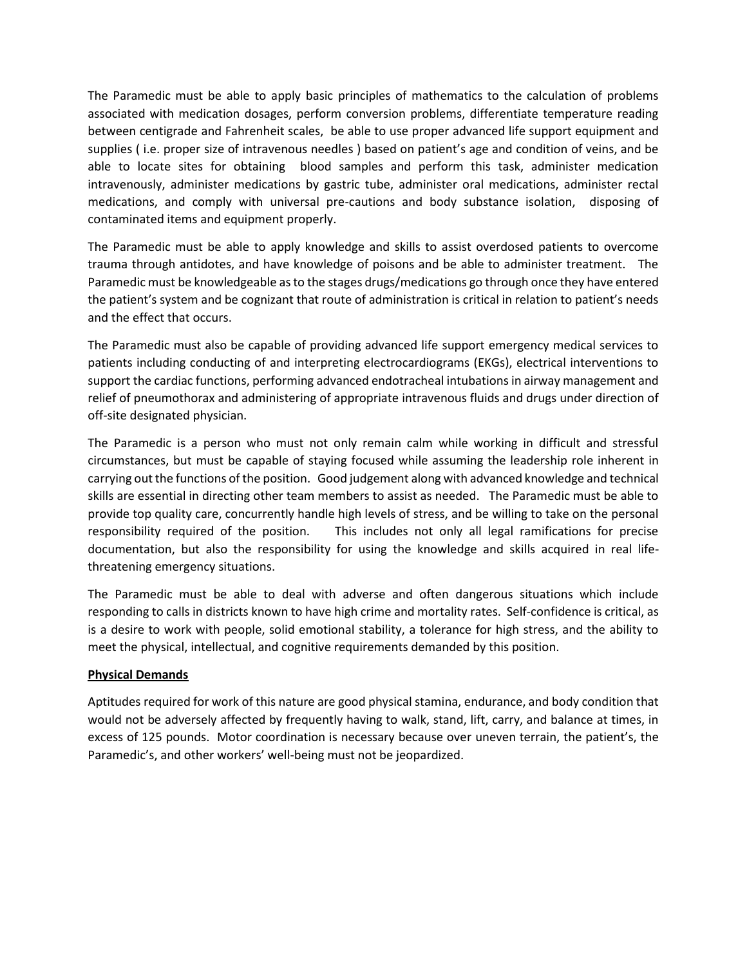The Paramedic must be able to apply basic principles of mathematics to the calculation of problems associated with medication dosages, perform conversion problems, differentiate temperature reading between centigrade and Fahrenheit scales, be able to use proper advanced life support equipment and supplies ( i.e. proper size of intravenous needles ) based on patient's age and condition of veins, and be able to locate sites for obtaining blood samples and perform this task, administer medication intravenously, administer medications by gastric tube, administer oral medications, administer rectal medications, and comply with universal pre-cautions and body substance isolation, disposing of contaminated items and equipment properly.

The Paramedic must be able to apply knowledge and skills to assist overdosed patients to overcome trauma through antidotes, and have knowledge of poisons and be able to administer treatment. The Paramedic must be knowledgeable as to the stages drugs/medications go through once they have entered the patient's system and be cognizant that route of administration is critical in relation to patient's needs and the effect that occurs.

The Paramedic must also be capable of providing advanced life support emergency medical services to patients including conducting of and interpreting electrocardiograms (EKGs), electrical interventions to support the cardiac functions, performing advanced endotracheal intubations in airway management and relief of pneumothorax and administering of appropriate intravenous fluids and drugs under direction of off-site designated physician.

The Paramedic is a person who must not only remain calm while working in difficult and stressful circumstances, but must be capable of staying focused while assuming the leadership role inherent in carrying out the functions of the position. Good judgement along with advanced knowledge and technical skills are essential in directing other team members to assist as needed. The Paramedic must be able to provide top quality care, concurrently handle high levels of stress, and be willing to take on the personal responsibility required of the position. This includes not only all legal ramifications for precise documentation, but also the responsibility for using the knowledge and skills acquired in real lifethreatening emergency situations.

The Paramedic must be able to deal with adverse and often dangerous situations which include responding to calls in districts known to have high crime and mortality rates. Self-confidence is critical, as is a desire to work with people, solid emotional stability, a tolerance for high stress, and the ability to meet the physical, intellectual, and cognitive requirements demanded by this position.

## **Physical Demands**

Aptitudes required for work of this nature are good physical stamina, endurance, and body condition that would not be adversely affected by frequently having to walk, stand, lift, carry, and balance at times, in excess of 125 pounds. Motor coordination is necessary because over uneven terrain, the patient's, the Paramedic's, and other workers' well-being must not be jeopardized.